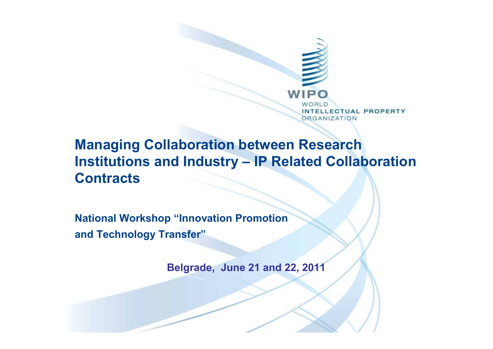

#### **Managing Collaboration between Research Institutions and Industry – IP Related Collaboration Contracts**

**National Workshop "Innovation Promotion and Technology Transfer"**

**Belgrade, June 21 and 22, 2011**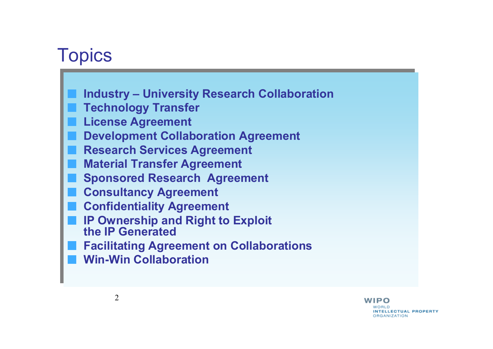## **Topics**

- **Industry – University Research Collaboration Industry – University Research Collaboration**
- **Technology Transfer Technology Transfer**
- **License Agreement License Agreement**
- **Development Collaboration Agreement Development Collaboration Agreement**
- **Research Services Agreement Research Services Agreement**
- **Material Transfer Agreement Material Transfer Agreement**
- **Sponsored Research Agreement Sponsored Research Agreement**
- **Consultancy Agreement Consultancy Agreement**
- **Confidentiality Agreement Confidentiality Agreement**
- **IP Ownership and Right to Exploit the IP Generatedthe IP GeneratedIP Ownership and Right to Exploit**
- **Facilitating Agreement on CollaborationsFacilitating Agreement on Collaborations**
- **Win-Win CollaborationWin-Win Collaboration**

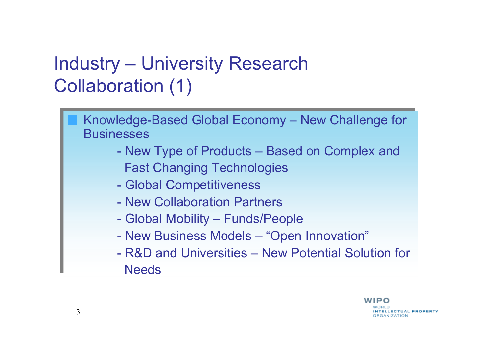# Industry – University Research Collaboration (1)



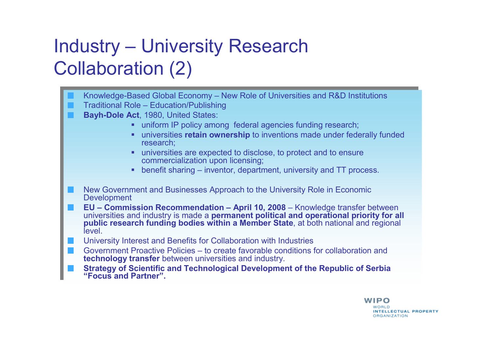# Industry – University Research Collaboration (2)

Knowledge-Based Global Economy – New Role of Universities and R&D Institutions Knowledge-Based Global Economy – New Role of Universities and R&D Institutions Traditional Role – Education/Publishing Traditional Role – Education/Publishing **Bayh-Dole Act**, 1980, United States: **Bayh-Dole Act**, 1980, United States: uniform IP policy among federal agencies funding research; uniform IP policy among federal agencies funding research; **EXECUTE:** universities **retain ownership** to inventions made under federally funded research; research; universities are expected to disclose, to protect and to ensure universities are expected to disclose, to protect and to ensure commercialization upon licensing; commercialization upon licensing; benefit sharing – inventor, department, university and TT process. benefit sharing – inventor, department, university and TT process. New Government and Businesses Approach to the University Role in Economic New Government and Businesses Approach to the University Role in Economic Development Development $EU - Commission$  Recommendation – April 10, 2008 – Knowledge transfer between universities and industry is made a **permanent political and operational priority for all**  universities and industry is made a **permanent political and operational priority for all public research funding bodies within a Member Stat <sup>e</sup>**, at both national and regional **public research funding bodies within a Member Stat<sup>e</sup>**, at both national and regional level. level.University Interest and Benefits for Collaboration with Industries Government Proactive Policies – to create favorable conditions for collaboration and Government Proactive Policies – to create favorable conditions for collaboration and **technology transfer** between universities and industry. **technology transfer** between universities and industry. **Strategy of Scientific and Technological Development of the Republic of Serbia Strategy of Scientific and Technological Development of the Republic of Serbia "Focus and Partner". "Focus and Partner".**

#### WIPO **INTELLECTUAL PROPERTY ORGANIZATION**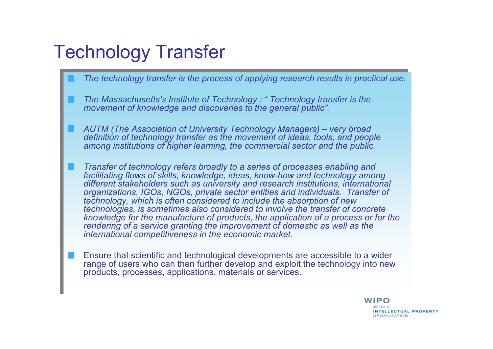## Technology Transfer

- *The technology transfer is the process of applying research results in practical use. The technology transfer is the process of applying research results in practical use.*
- *The Massachusetts's Institute of Technology : " Technology transfer is the movement of knowledge and discoveries to the general public" movement of knowledge and discoveries to the general public". movement of knowledge and discoveries to the general public".*
- *AUTM (The Association of University Technology Managers) – very broad AUTM (The Association of University Technology Managers) – very broad definition of technology transfer as the movement of ideas, tools, and people definition of technology transfer as the movement of ideas, tools, and people among institutions of higher learning, the commercial sector and the public. among institutions of higher learning, the commercial sector and the public.*
- *Transfer of technology refers broadly to a series of processes enabling and Transfer of technology refers broadly to a series of processes enabling and facilitating flows of skills, knowledge, ideas, know-how and technology among different stakeholders such as university and research institutions, international organizations, IGOs, NGOs, private sector entities and individuals. Transfer of organizations, IGOs, NGOs, private sector entities and individuals. Transfer of technology, which is often considered to include the absorption of new technology, which is often considered to include the absorption of new technology, which is often considered to include the dissorption of hew* technologies, is sometimes also considered to involve the transfer of concrete *knowledge for the manufacture of products, the application of a process or for the rendering of a service granting the improvement of domestic as well as the rendering of a service granting the improvement of domestic as well as the international competitiveness in the economic market. international competitiveness in the economic market. facilitating flows of skills, knowledge, ideas, know-how and technology among different stakeholders such as university and research institutions, international technologies, is sometimes also considered to involve the transfer of concrete knowledge for the manufacture of products, the application of a process or for the* 
	- Ensure that scientific and technological developments are accessible to a wider Ensure that scientific and technological developments are accessible to a wider range of users who can then further develop and exploit the technology into new products, processes, applications, materials or services. products, processes, applications, materials or services.range of users who can then further develop and exploit the technology into new

WIPO **INTELLECTUAL PROPERTY ORGANIZATION**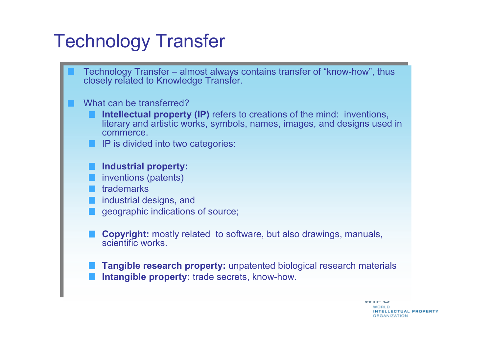## Technology Transfer

Technology Transfer – almost always contains transfer of "know-how", thus Technology Transfer – almost always contains transfer of "know-how", thus closely related to Knowledge Transfer. closely related to Knowledge Transfer.

#### What can be transferred?

- **Intellectual property (IP)** refers to creations of the mind: inventions, **Intellectual property (IP)** refers to creations of the mind: inventions, literary and artistic works, symbols, names, images, and designs used in literary and artistic works, symbols, names, images, and designs used in commerce. commerce.
- IP is divided into two categories: IP is divided into two categories:

#### **Industrial property: Industrial property:**

- inventions (patents) inventions (patents)
- trademarks trademarks
- industrial designs, and industrial designs, and
- geographic indications of source; geographic indications of source;
- **Copyright:** mostly related to software, but also drawings, manuals, **Copyright:** mostly related to software, but also drawings, manuals, scientific works. scientific works.
- **Tangible research property:** unpatented biological research materials **Tangible research property:** unpatented biological research materials **Intangible property:** trade secrets, know-how. **Intangible property:** trade secrets, know-how.

**VVIIT V INTELLECTUAL PROPERTY ORGANIZATION**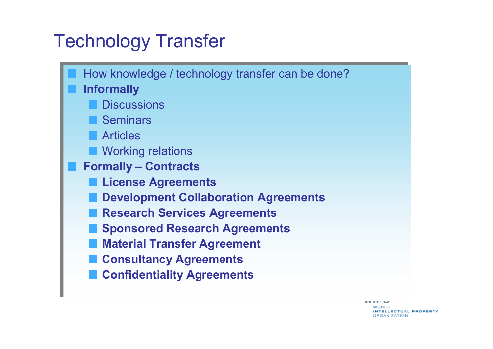## Technology Transfer



 $\mathbf{v}$  in the set of  $\mathbf{v}$ WORLD **INTELLECTUAL PROPERTY ORGANIZATION**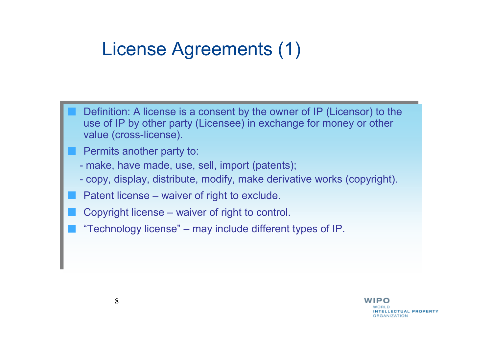## License Agreements (1)

- Definition: A license is a consent by the owner of IP (Licensor) to the use of IP by other party (Licenson) in exchange for menoy or other use of IP by other party (Licensee) in exchange for money or other use of IP by other party (Licensee) in exchange for money or other value (cross-license). value (cross-license).
	- Permits another party to: Permits another party to:
	- make, have made, use, sell, import (patents) - make, have made, use, sell, import (patents);
	- copy, display, distribute, modify, make derivative works (copyright). - copy, display, distribute, modify, make derivative works (copyright).
- Patent license waiver of right to exclude. Patent license waiver of right to exclude.
- Copyright license waiver of right to control. Copyright license waiver of right to control.
- "Technology license" may include different types of IP. "Technology license" may include different types of IP.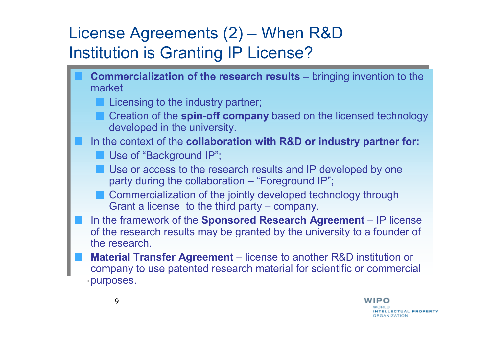#### License Agreements (2) – When R&D Institution is Granting IP License?

- **Commercialization of the research results** bringing invention to the market market
	- Licensing to the industry partner; Licensing to the industry partner;
	- Creation of the **spin-off company** based on the licensed technology Creation of the **spin-off company** based on the licensed technology developed in the university. developed in the university.
- In the context of the **collaboration with R&D or industry partner for:** In the context of the **collaboration with R&D or industry partner for:**
	- Use of "Background IP"; Use of "Background IP";
	- Use or access to the research results and IP developed by one Use or access to the research results and IP developed by one party during the collaboration – "Foreground IP";
	- Commercialization of the jointly developed technology through Commercialization of the jointly developed technology through Grant a license to the third party – company. Grant a license to the third party – company.
- In the framework of the **Sponsored Research Agreement**  IP license In the framework of the **Sponsored Research Agreement**  IP license of the research results may be granted by the university to a founder of of the research results may be granted by the university to a founder of the research.
- **Material Transfer Agreement** license to another R&D institution or company to use paterted research material for ecipatific or comparaished company to use patented research material for scientific or commercial company to use patented research material for scientific or commercial purposes. purposes.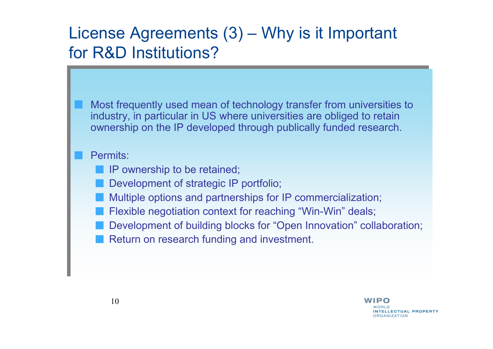#### License Agreements (3) – Why is it Important for R&D Institutions?

Most frequently used mean of technology transfer from universities to Most frequently used mean of technology transfer from universities to industry, in particular in US where universities are obliged to retain industry, in particular in US where universities are obliged to retain ownership on the IP developed through publically funded research. ownership on the IP developed through publically funded research.

#### Permits:

IP ownership to be retained; IP ownership to be retained;

- Development of strategic IP portfolio; Development of strategic IP portfolio;
- Multiple options and partnerships for IP commercialization; Multiple options and partnerships for IP commercialization;
- Flexible negotiation context for reaching "Win-Win" deals; Flexible negotiation context for reaching "Win-Win" deals;
- Development of building blocks for "Open Innovation" collaboration; Development of building blocks for "Open Innovation" collaboration;
- Return on research funding and investment. Return on research funding and investment.

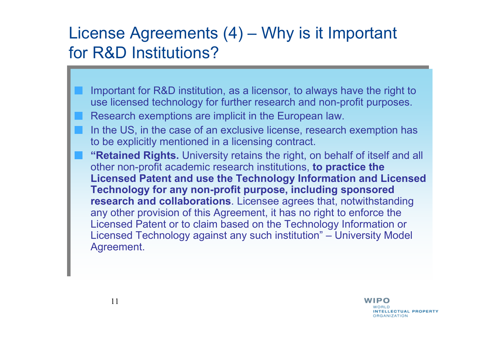#### License Agreements (4) – Why is it Important for R&D Institutions?

- Important for R&D institution, as a licensor, to always have the right to use licensed to the pole further research and non-prefit purposes. use licensed technology for further research and non-profit purposes. use licensed technology for further research and non-profit purposes.
- Research exemptions are implicit in the European law. Research exemptions are implicit in the European law.
- In the US, in the case of an exclusive license, research exemption has In the US, in the case of an exclusive license, research exemption has to be explicitly mentioned in a licensing contract. to be explicitly mentioned in a licensing contract.
- **"Retained Rights.** University retains the right, on behalf of itself and all **"Retained Rights.** University retains the right, on behalf of itself and all other non-profit academic research institutions, **to practice the**  other non-profit academic research institutions, **to practice the Licensed Patent and use the Technology Information and Licensed Technology for any non-profit purpose, including sponsored Technology for any non-profit purpose, including sponsored research and collaborations**. Licensee agrees that, notwithstanding any other provision of this Agreement, it has no right to enforce the any other provision of this Agreement, it has no right to enforce the Licensed Patent or to claim based on the Technology Information or Licensed Technology against any such institution" – University Model Licensed Technology against any such institution" – University Model Agreement. Agreement. **Licensed Patent and use the Technology Information and Licensed research and collaborations**. Licensee agrees that, notwithstanding Licensed Patent or to claim based on the Technology Information or

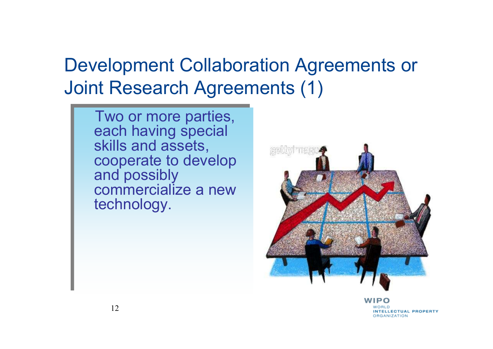## Development Collaboration Agreements or Joint Research Agreements (1)

Two or more parties, Two or more parties, each having special each having special skills and assets, skills and assets, cooperate to develop and possibly and possibly commercialize a new commercialize a new technology. technology.cooperate to develop



**INTELLECTUAL PROPERTY ORGANIZATION**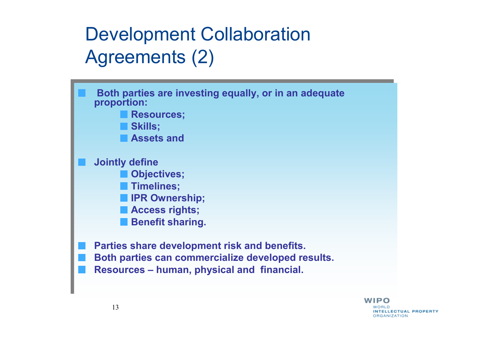## Development Collaboration Agreements (2)



**INTELLECTUAL PROPERTY ORGANIZATION**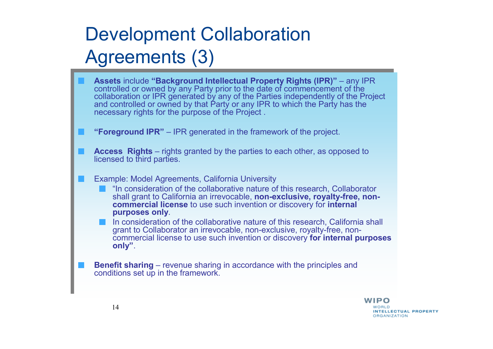# Development CollaborationAgreements (3)

**Assets** include **"Background Intellectual Property Rights (IPR)"** – any IPR **Assets** include **"Background Intellectual Property Rights (IPR)"** – any IPR controlled or owned by any Party prior to the date of commencement of the controlled or owned by any Party prior to the date of commencement of the collaboration or IPR generated by any of the Parties independently of the Project collaboration or IPR generated by any of the Parties independently of the Project and controlled or owned by that Party or any IPR to which the Party has the and controlled or owned by that Party or any IPR to which the Party has the necessary rights for the purpose of the Project . necessary rights for the purpose of the Project .**"Foreground IPR"** – IPR generated in the framework of the project. **"Foreground IPR"** – IPR generated in the framework of the project. **Access Rights** – rights granted by the parties to each other, as opposed to **Access Rights** – rights granted by the parties to each other, as opposed to licensed to third parties. licensed to third parties.Example: Model Agreements, California University Example: Model Agreements, California University "In consideration of the collaborative nature of this research, Collaborator "In consideration of the collaborative nature of this research, Collaborator shall grant to California an irrevocable, **non-exclusive, royalty-free, non-** shall grant to California an irrevocable, **non-exclusive, royalty-free, noncommercial license** to use such invention or discovery for **internal commercial license** to use such invention or discovery for **internal purposes only**. **purposes only**.In consideration of the collaborative nature of this research, California shall In consideration of the collaborative nature of this research, California shall grant to Collaborator an irrevocable, non-exclusive, royalty-free, non-grant to Collaborator an irrevocable, non-exclusive, royalty-free, noncommercial license to use such invention or discovery **for internal purposes**  commercial license to use such invention or discovery **for internal purposes only"**. **only"**.**Benefit sharing** – revenue sharing in accordance with the principles and conditions set up in the framework conditions set up in the framework. conditions set up in the framework.

> WIPO **INTELLECTUAL PROPERTY ORGANIZATION**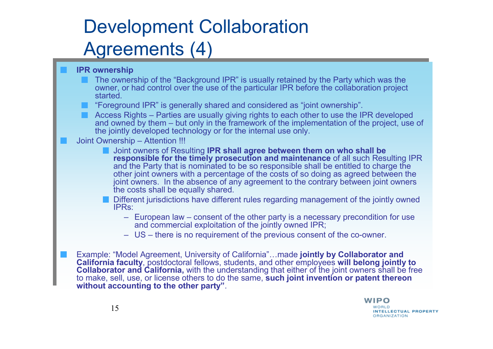# Development CollaborationAgreements (4)

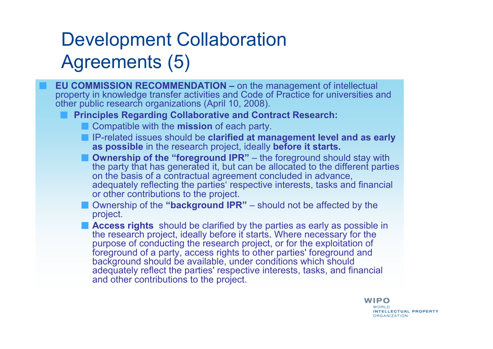# Development Collaboration Agreements (5)

**EU COMMISSION RECOMMENDATION –** on the management of intellectual property in knowledge transfer activities and Code of Practice for universities and other public research organizations (April 10, 2008).

#### **Principles Regarding Collaborative and Contract Research:**

- Compatible with the **mission** of each party.
- **IP-related issues should be clarified at management level and as early as possible** in the research project, ideally **before it starts.**
- **Ownership of the "foreground IPR"** the foreground should stay with<br>the party that has generated it, but can be allocated to the different partic the party that has generated it, but can be allocated to the different parties on the basis of a contractual agreement concluded in advance, adequately reflecting the parties' respective interests, tasks and financial<br>or other contributions to the project or other contributions to the project.
- Ownership of the **"background IPR"** should not be affected by the project.
- **Access rights** should be clarified by the parties as early as possible in the research present for the straight of the straight of the straight of the straight of the straight of the straight of the straight of the straig the research project, ideally before it starts. Where necessary for the purpose of conducting the research project, or for the exploitation of foreground of a party, access rights to other parties' foreground and background should be available, under conditions which should adequately reflect the parties' respective interests, tasks, and financial<br>and other contributions to the project and other contributions to the project.

#### **WIPO**

**INTELLECTUAL PROPERTY ORGANIZATION**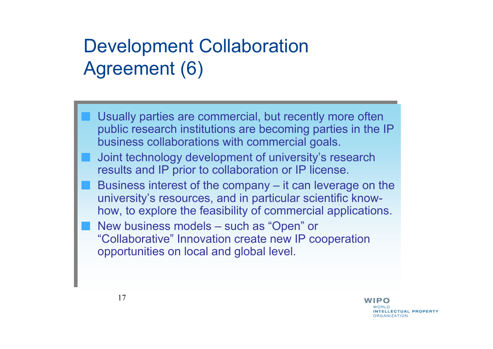## Development Collaboration Agreement (6)

Usually parties are commercial, but recently more often Usually parties are commercial, but recently more often public research institutions are becoming parties in the IP business collaborations with commercial goals. business collaborations with commercial goals.public research institutions are becoming parties in the IP

- Joint technology development of university's research Joint technology development of university's research results and IP prior to collaboration or IP license.
- Business interest of the company it can leverage on the Business interest of the company it can leverage on the university's resources, and in particular scientific know-university's resources, and in particular scientific knowhow, to explore the feasibility of commercial applications. how, to explore the feasibility of commercial applications.
- New business models such as "Open" or New business models such as "Open" or "Collaborative" Innovation create new IP cooperation "Collaborative" Innovation create new IP cooperation opportunities on local and global level. opportunities on local and global level.

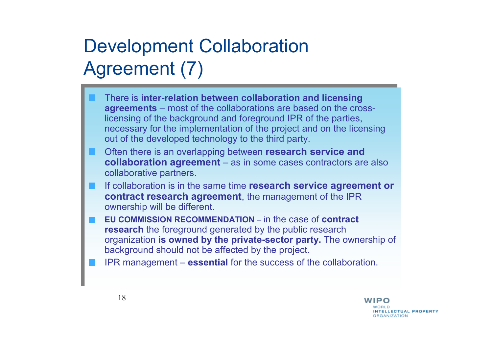# Development Collaboration Agreement (7)

- There is **inter-relation between collaboration and licensing**  There is **inter-relation between collaboration and licensing agreements** – most of the collaborations are based on the crosslicensing of the background and foreground IPR of the parties, licensing of the background and foreground IPR of the parties, necessary for the implementation of the project and on the licensing out of the developed technology to the third party. out of the developed technology to the third party.necessary for the implementation of the project and on the licensing
- Often there is an overlapping between **research service and**  Often there is an overlapping between **research service and collaboration agreement** – as in some cases contractors are also **collaboration agreement** – as in some cases contractors are also collaborative partners. collaborative partners.
- If collaboration is in the same time **research service agreement or**  If collaboration is in the same time **research service agreement or contract research agreement**, the management of the IPR **contract research agreement**, the management of the IPR ownership will be different. ownership will be different.
- **EU COMMISSION RECOMMENDATION**  <sup>i</sup>n the case of **contract EU COMMISSION RECOMMENDATION**  <sup>i</sup>n the case of **contract research** the foreground generated by the public research **research** the foreground generated by the public research organization **is owned by the private-sector party.** The ownership of organization **is owned by the private-sector party.** The ownership of background should not be affected by the project. background should not be affected by the project.
- IPR management **essential** for the success of the collaboration. IPR management **essential** for the success of the collaboration.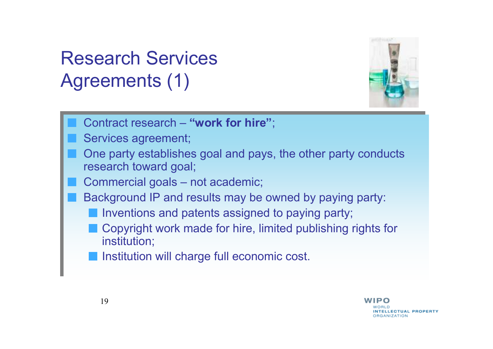# Research Services Agreements (1)



- Contract research **"work for hire"**; Contract research **"work for hire"**;
- Services agreement; Services agreement;
- One party establishes goal and pays, the other party conducts One party establishes goal and pays, the other party conducts research toward goal; research toward goal;
- Commercial goals not academic; Commercial goals not academic;
- Background IP and results may be owned by paying party: Background IP and results may be owned by paying party:
	- Inventions and patents assigned to paying party; Inventions and patents assigned to paying party;
	- Copyright work made for hire, limited publishing rights for Copyright work made for hire, limited publishing rights for institution; institution;
	- Institution will charge full economic cost. Institution will charge full economic cost.

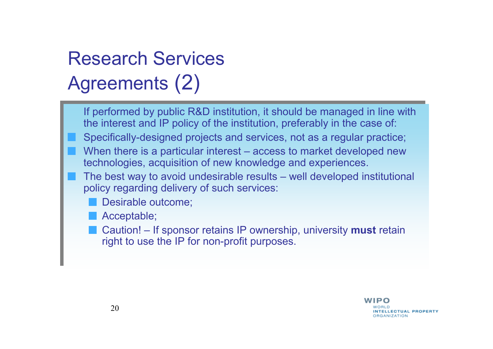# Research Services Agreements (2)

- If performed by public R&D institution, it should be managed in line with If performed by public R&D institution, it should be managed in line with the interest and IP policy of the institution, preferably in the case of:
- Specifically-designed projects and services, not as a regular practice; Specifically-designed projects and services, not as a regular practice;
- When there is a particular interest access to market developed new<br>technologies, acquisition of new knowledge and experiences technologies, acquisition of new knowledge and experiences. technologies, acquisition of new knowledge and experiences.
- The best way to avoid undesirable results well developed institutional<br>noling reserving delivery of such services: policy regarding delivery of such services: policy regarding delivery of such services:
	- Desirable outcome; Desirable outcome;
	- Acceptable; Acceptable;
	- Caution! If sponsor retains IP ownership, university **must** retain right to use the IP for non-profit purposes right to use the IP for non-profit purposes. right to use the IP for non-profit purposes.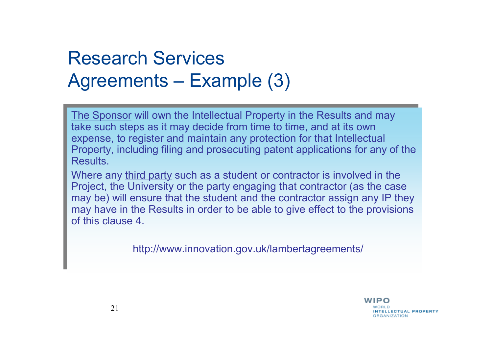## Research Services Agreements – Example (3)

The Sponsor will own the Intellectual Property in the Results and may The Sponsor will own the Intellectual Property in the Results and may take such steps as it may decide from time to time, and at its own take such steps as it may decide from time to time, and at its own expense, to register and maintain any protection for that Intellectual Property, including filing and prosecuting patent applications for any of the Results. expense, to register and maintain any protection for that Intellectual Property, including filing and prosecuting patent applications for any of the

Where any third party such as a student or contractor is involved in the Project, the University or the party engaging that contractor (as the case Project, the University or the party engaging that contractor (as the case may be) will ensure that the student and the contractor assign any IP they may be) will ensure that the student and the contractor assign any IP they may have in the Results in order to be able to give effect to the provisions of this clause 4. of this clause 4. may have in the Results in order to be able to give effect to the provisions

http://www.innovation.gov.uk/lambertagreements/ http://www.innovation.gov.uk/lambertagreements/

WIPO **INTELLECTUAL PROPERTY BRANIZATION**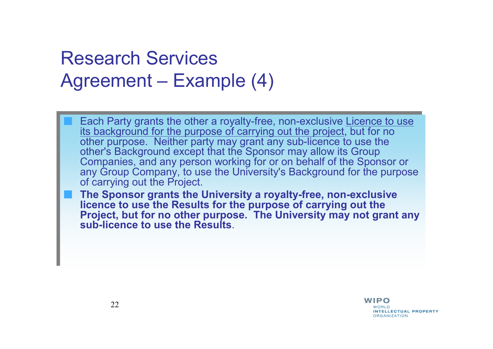#### Research Services Agreement – Example (4)

Each Party grants the other a royalty-free, non-exclusive Licence to use its background for the purpose of carrying out the project, but for no other purpose. Neither party may grant any sub-licence to use the other's Background except that the Sponsor may allow its Group Companies, and any person working for or on behalf of the Sponsor or any Group Company, to use the University's Background for the purpose of carrying out the Project. Each Party grants the other a royalty-free, non-exclusive <u>Licence to use</u><br>its background for the purpose of carrying out the project, but for no<br>other purpose. Neither party may grant any sub-licence to use the<br>other's Ba

**The Sponsor grants the University a royalty-free, non-exclusive licence to use the Results for the purpose of carrying out the Project, but for no other purpose. The University may not grant any sub-licence to use the Results**.

> WIPO **INTELLECTUAL PROPERTY ORGANIZATION**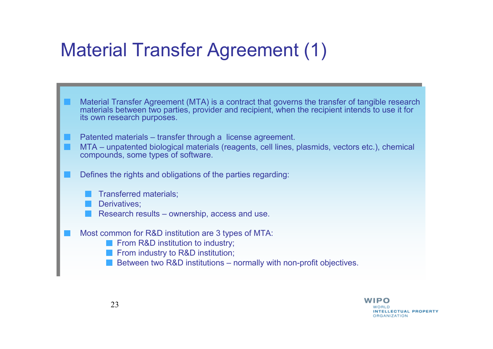## Material Transfer Agreement (1)

- Material Transfer Agreement (MTA) is a contract that governs the transfer of tangible research materials hetween two parties, provider and recipient when the recipient intends to use it for materials between two parties, provider and recipient, when the recipient intends to use it for materials between two parties, provider and recipient, when the recipient intends to use it for its own research purposes. its own research purposes.
- Patented materials transfer through a license agreement.
- MTA unpatented biological materials (reagents, cell lines, plasmids, vectors etc.), chemical MTA unpatented biological materials (reagents, cell lines, plasmids, vectors etc.), chemical compounds, some types of software. compounds, some types of software.
- Defines the rights and obligations of the parties regarding: Defines the rights and obligations of the parties regarding:
	- Transferred materials; Transferred materials;
	- Derivatives; Derivatives;
	- Research results ownership, access and use. Research results ownership, access and use.
- Most common for R&D institution are 3 types of MTA: Most common for R&D institution are 3 types of MTA:
	- From R&D institution to industry; From R&D institution to industry;
	- From industry to R&D institution; From industry to R&D institution;
	- Between two R&D institutions normally with non-profit objectives. Between two R&D institutions normally with non-profit objectives.

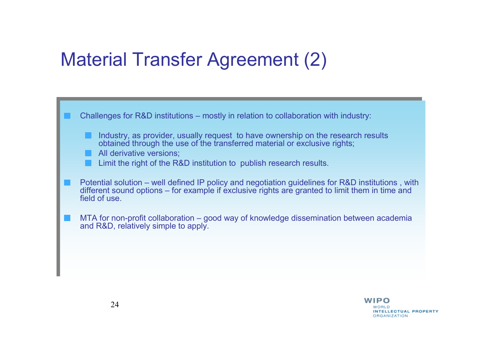### Material Transfer Agreement (2)



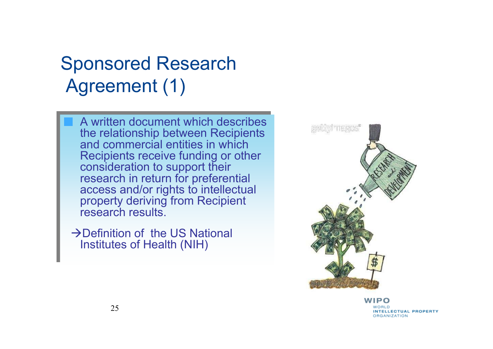## Sponsored ResearchAgreement (1)

A written document which describes A written document which describes the relationship between Recipients and commercial entities in which and commercial entities in which Recipients receive funding or other consideration to support their consideration to support their research in return for preferential access and/or rights to intellectual property deriving from Recipient property deriving from Recipient research results. research results. the relationship between Recipients Recipients receive funding or other research in return for preferential access and/or rights to intellectual

-Definition of the US National -Definition of the US National Institutes of Health (NIH) Institutes of Health (NIH)



WIPO INTELLECTUAL PROPERTY **ORGANIZATION**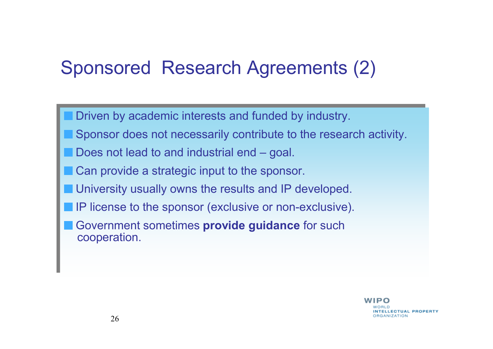## Sponsored Research Agreements (2)

Driven by academic interests and funded by industry. Driven by academic interests and funded by industry.

- Sponsor does not necessarily contribute to the research activity. Sponsor does not necessarily contribute to the research activity.
- Does not lead to and industrial end goal. Does not lead to and industrial end goal.
- Can provide a strategic input to the sponsor. Can provide a strategic input to the sponsor.
- University usually owns the results and IP developed. University usually owns the results and IP developed.
- IP license to the sponsor (exclusive or non-exclusive). IP license to the sponsor (exclusive or non-exclusive).
- Government sometimes **provide guidance** for such Government sometimes **provide guidance** for such cooperation. cooperation.

WIPO NTELLECTUAL PROPERTY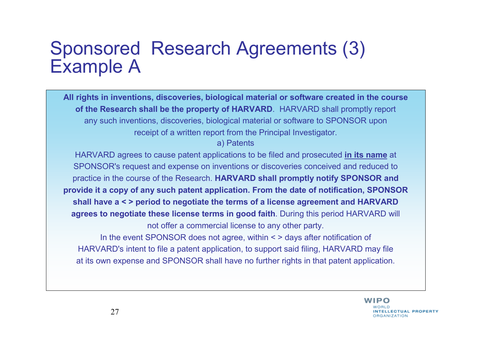#### Sponsored Research Agreements (3)Example A

**All rights in inventions, discoveries, biological material or software created in the courseof the Research shall be the property of HARVARD**. HARVARD shall promptly reportany such inventions, discoveries, biological material or software to SPONSOR uponreceipt of a written report from the Principal Investigator.

a) Patents

HARVARD agrees to cause patent applications to be filed and prosecuted **in its name** at SPONSOR's request and expense on inventions or discoveries conceived and reduced to practice in the course of the Research. **HARVARD shall promptly notify SPONSOR and provide it a copy of any such patent application. From the date of notification, SPONSORshall have a < > period to negotiate the terms of a license agreement and HARVARD agrees to negotiate these license terms in good faith**. During this period HARVARD willnot offer a commercial license to any other party.In the event SPONSOR does not agree, within < > days after notification of

HARVARD's intent to file a patent application, to support said filing, HARVARD may fileat its own expense and SPONSOR shall have no further rights in that patent application.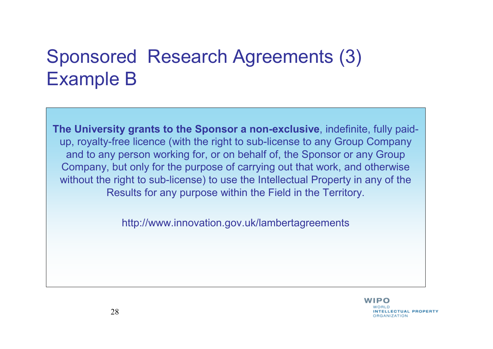## Sponsored Research Agreements (3) Example B

**The University grants to the Sponsor a non-exclusive**, indefinite, fully paidup, royalty-free licence (with the right to sub-license to any Group Company and to any person working for, or on behalf of, the Sponsor or any Group Company, but only for the purpose of carrying out that work, and otherwise without the right to sub-license) to use the Intellectual Property in any of the Results for any purpose within the Field in the Territory.

http://www.innovation.gov.uk/lambertagreements

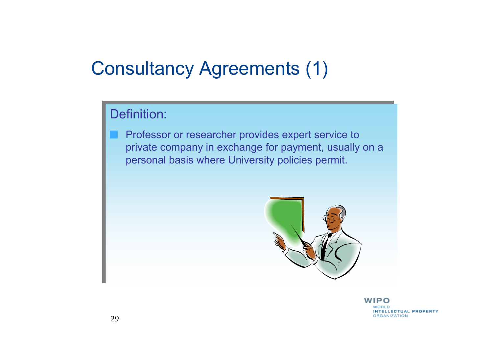### Consultancy Agreements (1)

#### Definition: Definition:

Professor or researcher provides expert service to Professor or researcher provides expert service to private company in exchange for payment, usually on a personal basis where University policies permit. personal basis where University policies permit.on a



WIPO **INTELLECTUAL PROPERTY ORGANIZATION**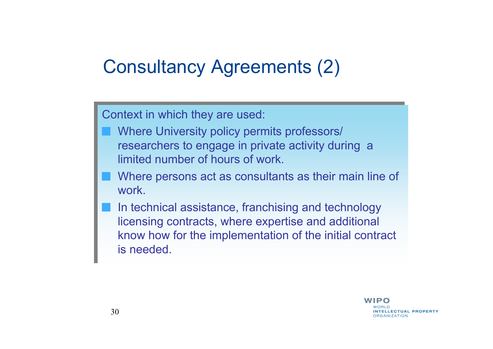## Consultancy Agreements (2)

Context in which they are used: Context in which they are used:

- Where University policy permits professors/ Where University policy permits professors/ researchers to engage in private activity during a limited number of hours of work.
- Where persons act as consultants as their main line of Where persons act as consultants as their main line of work.
- In technical assistance, franchising and technology licensing contracts, where expertise and additional know how for the implementation of the initial contract know how for the implementation of the initial contract is needed. is needed. licensing contracts, where expertise and additional

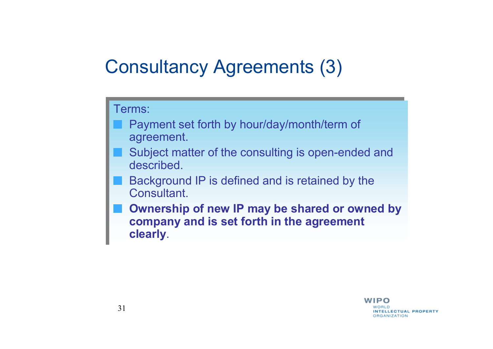## Consultancy Agreements (3)

Terms:

- Payment set forth by hour/day/month/term of agreement.
- Subject matter of the consulting is open-ended and described
- Background IP is defined and is retained by the **Consultant**
- **Ownership of new IP may be shared or owned by company and is set forth in the agreement**  Terms:<br>
■ Payment set forth by hour/day/month/term of<br>
agreement.<br>
■ Subject matter of the consulting is open-ended and<br>
described.<br>
■ Background IP is defined and is retained by the<br>
Consultant.<br>
■ Ownership of new IP ma

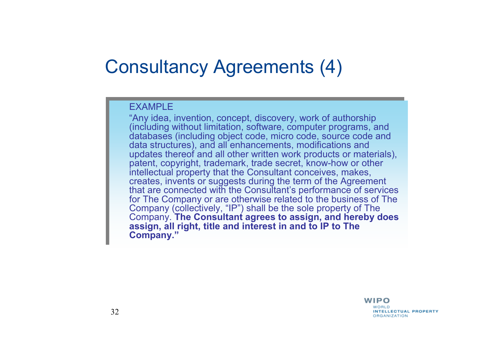#### Consultancy Agreements (4)

#### EXAMPLE

"Any idea, invention, concept, discovery, work of authorship "Any idea, invention, concept, discovery, work of authorship (including without limitation, software, computer programs, and databases (including object code, micro code, source code and data structures), and all enhancements, modifications and data structures), and all enhancements, modifications and updates thereof and all other written work products or materials), patent, copyright, trademark, trade secret, know-how or other patent, copyright, trademark, trade secret, know-how or other intellectual property that the Consultant conceives, makes, intellectual property that the Consultant conceives, makes, creates, invents or suggests during the term of the Agreement that are connected with the Consultant's performance of services for The Company or are otherwise related to the business of The Company (collectively, "IP") shall be the sole property of The Company (collectively, "IP") shall be the sole property of The Company. **The Consultant agrees to assign, and hereby does assign, all right, title and interest in and to IP to The assign, all right, title and interest in and to IP to The Company."Company."** (including without limitation, software, computer programs, and databases (including object code, micro code, source code and updates thereof and all other written work products or materials), creates, invents or suggests during the term of the Agreement that are connected with the Consultant's performance of services for The Company or are otherwise related to the business of The Company. **The Consultant agrees to assign, and hereby does** 

> WIPO **INTELLECTUAL PROPERTY ORGANIZATION**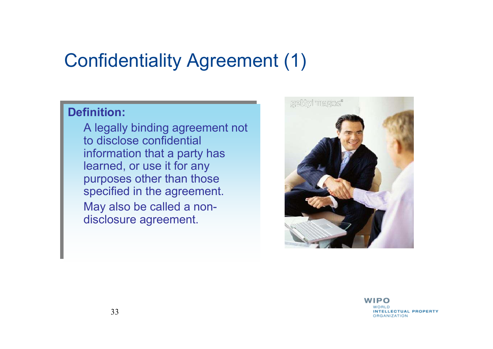#### Confidentiality Agreement (1)

#### **Definition:Definition:**

A legally binding agreement not A legally binding agreement not to disclose confidential to disclose confidential information that a party has learned, or use it for any learned, or use it for any purposes other than those specified in the agreement. May also be called a non-May also be called a nondisclosure agreement. disclosure agreement. information that a party has purposes other than those specified in the agreement.



WIPO **INTELLECTUAL PROPERTY ORGANIZATION**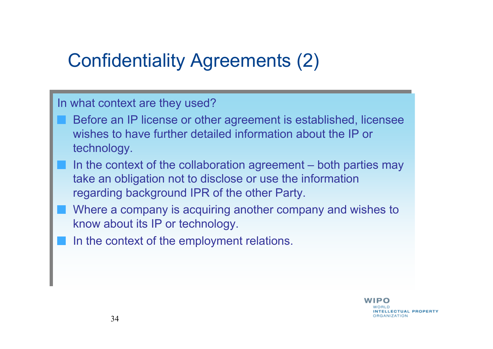## Confidentiality Agreements (2)

In what context are they used?

- Before an IP license or other agreement is established, licensee wishes to have further detailed information about the IP or wishes to have further detailed information about the IP or technology. technology.
- In the context of the collaboration agreement both parties may<br>take an abligation not to disclose agrees the information take an obligation not to disclose or use the information take an obligation not to disclose or use the information regarding background IPR of the other Party. regarding background IPR of the other Party.
- Where a company is acquiring another company and wishes to Where a company is acquiring another company and wishes to know about its IP or technology. know about its IP or technology.
- In the context of the employment relations. In the context of the employment relations.

WIPO NTELLECTUAL PROPERTY **RGANIZATION**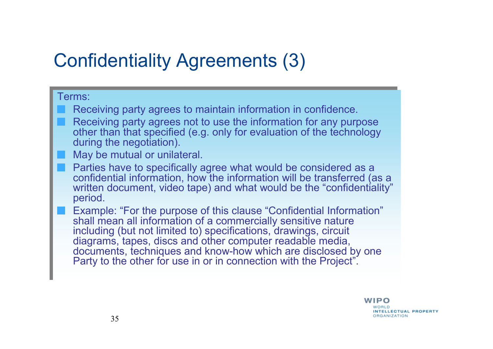## Confidentiality Agreements (3)

#### Terms: Terms:

- Receiving party agrees to maintain information in confidence. Receiving party agrees to maintain information in confidence.
- Receiving party agrees not to use the information for any purpose Receiving party agrees not to use the information for any purpose other than that specified (e.g. only for evaluation of the technology during the negotiation). during the negotiation).other than that specified (e.g. only for evaluation of the technology
- May be mutual or unilateral. May be mutual or unilateral.
- Parties have to specifically agree what would be considered as a Parties have to specifically agree what would be considered as aconfidential information, how the information will be transferred (as a confidential information, how the information will be transferred (as a written document, video tape) and what would be the "confidentiality" period. period. written document, video tape) and what would be the "confidentiality"
	- Example: "For the purpose of this clause "Confidential Information" Example: "For the purpose of this clause "Confidential Information"shall mean all information of a commercially sensitive nature shall mean all information of a commercially sensitive nature including (but not limited to) specifications, drawings, circuit including (but not limited to) specifications, drawings, circuitdiagrams, tapes, discs and other computer readable media, documents, techniques and know-how which are disclosed by one Party to the other for use in or in connection with the Project". Party to the other for use in or in connection with the Project". diagrams, tapes, discs and other computer readable media, documents, techniques and know-how which are disclosed by one

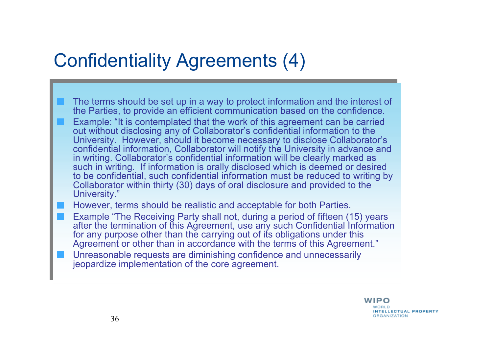#### Confidentiality Agreements (4)

- The terms should be set up in a way to protect information and the interest of The terms should be set up in a way to protect information and the interest of the Parties, to provide an efficient communication based on the confidence. the Parties, to provide an efficient communication based on the confidence.
- Example: "It is contemplated that the work of this agreement can be carried Example: "It is contemplated that the work of this agreement can be carried out without disclosing any of Collaborator's confidential information to the out without disclosing any of Collaborator's confidential information to the University. However, should it become necessary to disclose Collaborator's confidential information, Collaborator will notify the University in advance and in writing. Collaborator's confidential information will be clearly marked as in writing. Collaborator's confidential information will be clearly marked as such in writing. If information is orally disclosed which is deemed or desired to be confidential, such confidential information must be reduced to writing by Collaborator within thirty (30) days of oral disclosure and provided to the Collaborator within thirty (30) days of oral disclosure and provided to the University." University." University. However, should it become necessary to disclose Collaborator's confidential information, Collaborator will notify the University in advance and such in writing. If information is orally disclosed which is deemed or desired to be confidential, such confidential information must be reduced to writing by

However, terms should be realistic and acceptable for both Parties. However, terms should be realistic and acceptable for both Parties.

- Example "The Receiving Party shall not, during a period of fifteen (15) years Example "The Receiving Party shall not, during a period of fifteen (15) years after the termination of this Agreement, use any such Confidential Information for any purpose other than the carrying out of its obligations under this for any purpose other than the carrying out of its obligations under this Agreement or other than in accordance with the terms of this Agreement. after the termination of this Agreement, use any such Confidential Information Agreement or other than in accordance with the terms of this Agreement."
- Unreasonable requests are diminishing confidence and unnecessarily Unreasonable requests are diminishing confidence and unnecessarily jeopardize implementation of the core agreement. jeopardize implementation of the core agreement.

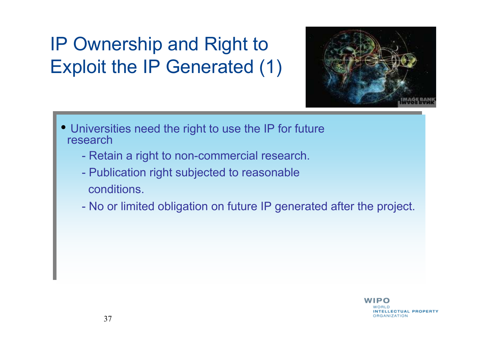# IP Ownership and Right to Exploit the IP Generated (1)



- Universities need the right to use the IP for future research
	- Retain a right to non-commercial research Retain a right to non-commercial research.
	- Publication right subjected to reasonable conditions. -Publication right subjected to reasonable
	- No or limited obligation on future IP generated after the project No or limited obligation on future IP generated after the project.

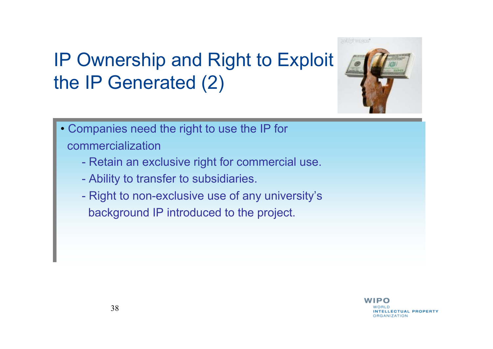# IP Ownership and Right to Exploit the IP Generated (2)



- Companies need the right to use the IP for Companies need the right to use the IP for commercialization commercialization
	- Retain an exclusive right for commercial use -Retain an exclusive right for commercial use.
	- Ability to transfer to subsidiaries Ability to transfer to subsidiaries.
	- Right to non-exclusive use of any university's background IP introduced to the project. background IP introduced to the project.Right to non-exclusive use of any university's

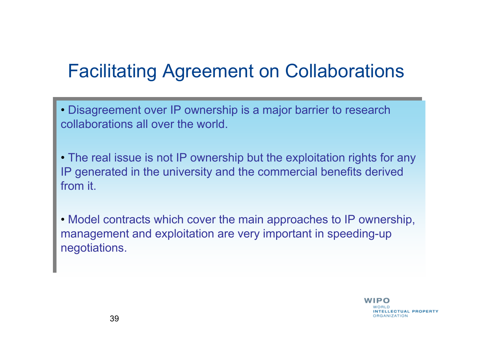## Facilitating Agreement on Collaborations

- Disagreement over IP ownership is a major barrier to research collaborations all over the world. collaborations all over the world.• Disagreement over IP ownership is a major barrier to research
- The real issue is not IP ownership but the exploitation rights for any IP generated in the university and the commercial benefits derived IP generated in the university and the commercial benefits derived from it. • The real issue is not IP ownership but the exploitation rights for any
- Model contracts which cover the main approaches to IP ownership, management and exploitation are very important in speeding-up management and exploitation are very important in speeding-up negotiations. negotiations.• Model contracts which cover the main approaches to IP ownership,

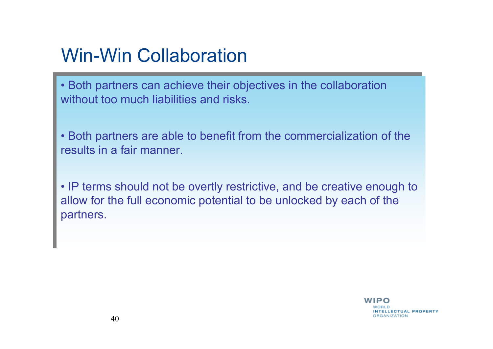## Win-Win Collaboration

• Both partners can achieve their objectives in the collaboration without too much liabilities and risks. without too much liabilities and risks.• Both partners can achieve their objectives in the collaboration<br>without too much lightlities and rights

• Both partners are able to benefit from the commercialization of the results in a fair manner. results in a fair manner.• Both partners are able to benefit from the commercialization of the negative in a fair manner.

• IP terms should not be overtly restrictive, and be creative enough to allow for the full economic potential to be unlocked by each of the allow for the full economic potential to be unlocked by each of the partners. partners.• IP terms should not be overtly restrictive, and be creative enough to play for the state of the

> IPO NTELLECTUAL PROPERTY